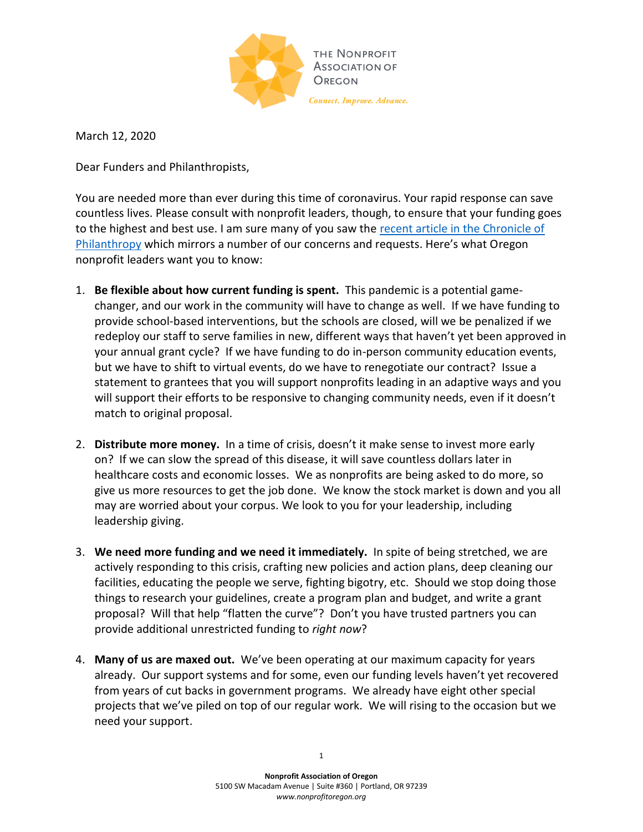

March 12, 2020

Dear Funders and Philanthropists,

You are needed more than ever during this time of coronavirus. Your rapid response can save countless lives. Please consult with nonprofit leaders, though, to ensure that your funding goes to the highest and best use. I am sure many of you saw the [recent article in the Chronicle of](https://www.philanthropy.com/article/Coronavirus-6-Steps-for-Grant/248202)  [Philanthropy](https://www.philanthropy.com/article/Coronavirus-6-Steps-for-Grant/248202) which mirrors a number of our concerns and requests. Here's what Oregon nonprofit leaders want you to know:

- 1. **Be flexible about how current funding is spent.** This pandemic is a potential gamechanger, and our work in the community will have to change as well. If we have funding to provide school-based interventions, but the schools are closed, will we be penalized if we redeploy our staff to serve families in new, different ways that haven't yet been approved in your annual grant cycle? If we have funding to do in-person community education events, but we have to shift to virtual events, do we have to renegotiate our contract? Issue a statement to grantees that you will support nonprofits leading in an adaptive ways and you will support their efforts to be responsive to changing community needs, even if it doesn't match to original proposal.
- 2. **Distribute more money.** In a time of crisis, doesn't it make sense to invest more early on? If we can slow the spread of this disease, it will save countless dollars later in healthcare costs and economic losses. We as nonprofits are being asked to do more, so give us more resources to get the job done. We know the stock market is down and you all may are worried about your corpus. We look to you for your leadership, including leadership giving.
- 3. **We need more funding and we need it immediately.** In spite of being stretched, we are actively responding to this crisis, crafting new policies and action plans, deep cleaning our facilities, educating the people we serve, fighting bigotry, etc. Should we stop doing those things to research your guidelines, create a program plan and budget, and write a grant proposal? Will that help "flatten the curve"? Don't you have trusted partners you can provide additional unrestricted funding to *right now*?
- 4. **Many of us are maxed out.** We've been operating at our maximum capacity for years already. Our support systems and for some, even our funding levels haven't yet recovered from years of cut backs in government programs. We already have eight other special projects that we've piled on top of our regular work. We will rising to the occasion but we need your support.